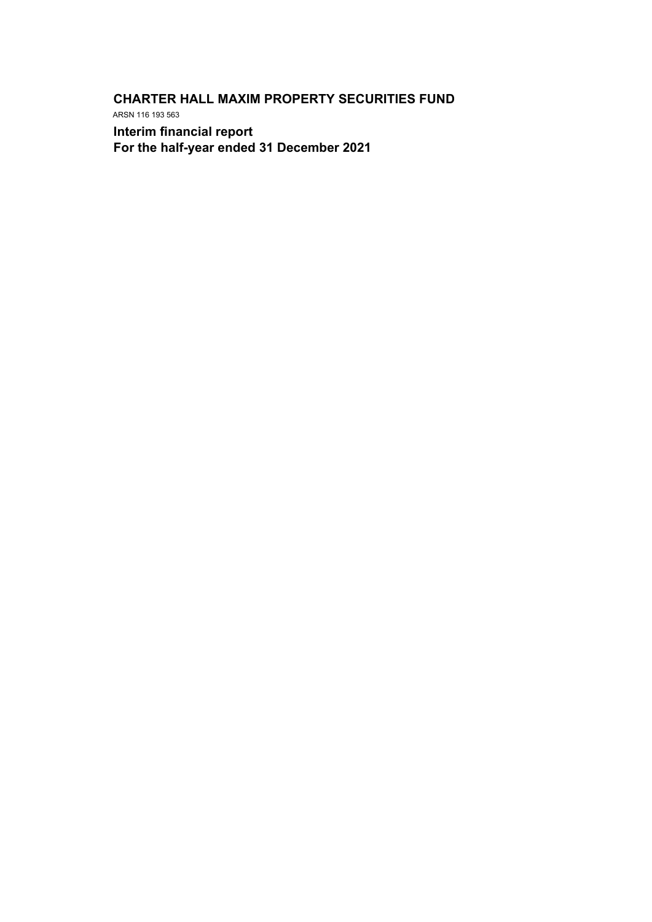**CHARTER HALL MAXIM PROPERTY SECURITIES FUND** ARSN 116 193 563

**Interim financial report For the half-year ended 31 December 2021**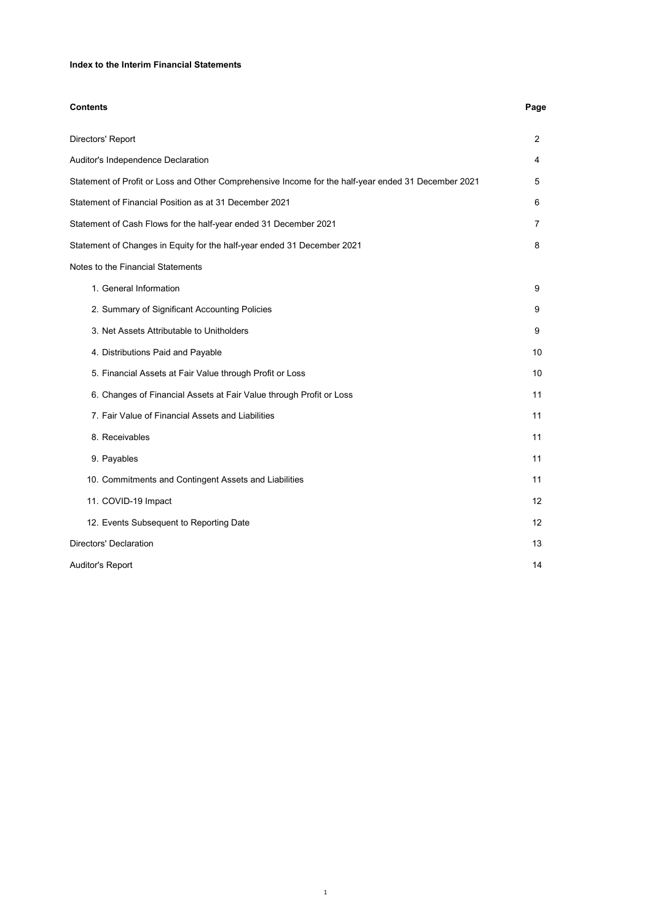## **Index to the Interim Financial Statements**

| <b>Contents</b>                                                                                     | Page              |
|-----------------------------------------------------------------------------------------------------|-------------------|
| Directors' Report                                                                                   | $\overline{2}$    |
| Auditor's Independence Declaration                                                                  | 4                 |
| Statement of Profit or Loss and Other Comprehensive Income for the half-year ended 31 December 2021 | 5                 |
| Statement of Financial Position as at 31 December 2021                                              | 6                 |
| Statement of Cash Flows for the half-year ended 31 December 2021                                    | 7                 |
| Statement of Changes in Equity for the half-year ended 31 December 2021                             | 8                 |
| Notes to the Financial Statements                                                                   |                   |
| 1. General Information                                                                              | 9                 |
| 2. Summary of Significant Accounting Policies                                                       | 9                 |
| 3. Net Assets Attributable to Unitholders                                                           | 9                 |
| 4. Distributions Paid and Payable                                                                   | 10                |
| 5. Financial Assets at Fair Value through Profit or Loss                                            | 10                |
| 6. Changes of Financial Assets at Fair Value through Profit or Loss                                 | 11                |
| 7. Fair Value of Financial Assets and Liabilities                                                   | 11                |
| 8. Receivables                                                                                      | 11                |
| 9. Payables                                                                                         | 11                |
| 10. Commitments and Contingent Assets and Liabilities                                               | 11                |
| 11. COVID-19 Impact                                                                                 | 12                |
| 12. Events Subsequent to Reporting Date                                                             | $12 \overline{ }$ |
| Directors' Declaration                                                                              | 13                |
| Auditor's Report                                                                                    | 14                |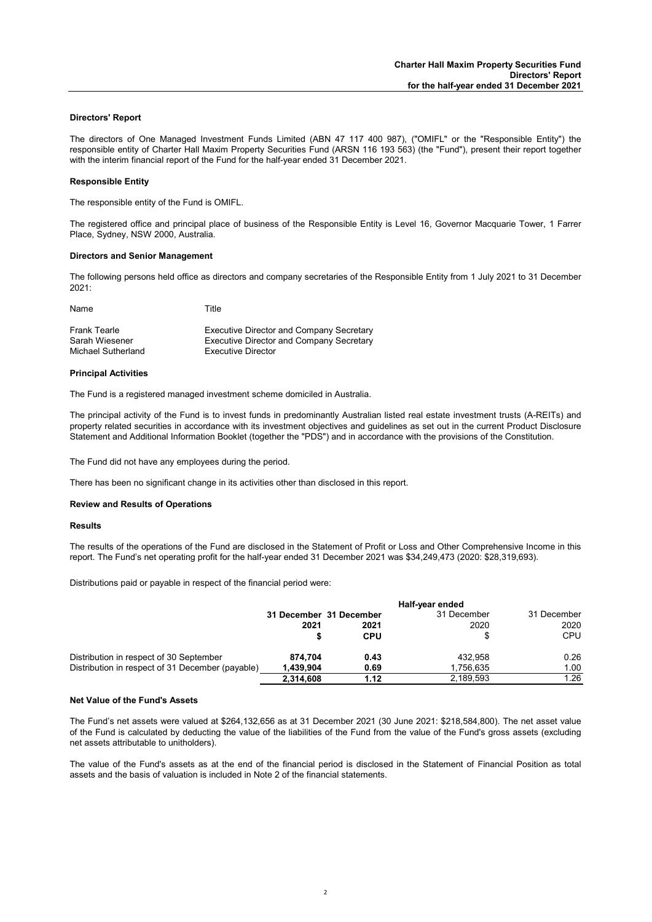### **Directors' Report**

The directors of One Managed Investment Funds Limited (ABN 47 117 400 987), ("OMIFL" or the "Responsible Entity") the responsible entity of Charter Hall Maxim Property Securities Fund (ARSN 116 193 563) (the "Fund"), present their report together with the interim financial report of the Fund for the half-year ended 31 December 2021.

#### **Responsible Entity**

The responsible entity of the Fund is OMIFL.

The registered office and principal place of business of the Responsible Entity is Level 16, Governor Macquarie Tower, 1 Farrer Place, Sydney, NSW 2000, Australia.

#### **Directors and Senior Management**

Name Title

The following persons held office as directors and company secretaries of the Responsible Entity from 1 July 2021 to 31 December  $2021 -$ 

| <b>Executive Director and Company Secretary</b> |
|-------------------------------------------------|
| Executive Director and Company Secretary        |
| Executive Director                              |
|                                                 |

#### **Principal Activities**

The Fund is a registered managed investment scheme domiciled in Australia.

The principal activity of the Fund is to invest funds in predominantly Australian listed real estate investment trusts (A-REITs) and property related securities in accordance with its investment objectives and guidelines as set out in the current Product Disclosure Statement and Additional Information Booklet (together the "PDS") and in accordance with the provisions of the Constitution.

The Fund did not have any employees during the period.

There has been no significant change in its activities other than disclosed in this report.

#### **Review and Results of Operations**

#### **Results**

The results of the operations of the Fund are disclosed in the Statement of Profit or Loss and Other Comprehensive Income in this report. The Fund's net operating profit for the half-year ended 31 December 2021 was \$34,249,473 (2020: \$28,319,693).

Distributions paid or payable in respect of the financial period were:

|                                                  | Half-year ended         |            |             |             |
|--------------------------------------------------|-------------------------|------------|-------------|-------------|
|                                                  | 31 December 31 December |            | 31 December | 31 December |
|                                                  | 2021                    | 2021       | 2020        | 2020        |
|                                                  |                         | <b>CPU</b> |             | <b>CPU</b>  |
| Distribution in respect of 30 September          | 874.704                 | 0.43       | 432.958     | 0.26        |
| Distribution in respect of 31 December (payable) | 1,439,904               | 0.69       | 1,756,635   | 1.00        |
|                                                  | 2,314,608               | 1.12       | 2.189.593   | 1.26        |

#### **Net Value of the Fund's Assets**

The Fund's net assets were valued at \$264,132,656 as at 31 December 2021 (30 June 2021: \$218,584,800). The net asset value of the Fund is calculated by deducting the value of the liabilities of the Fund from the value of the Fund's gross assets (excluding net assets attributable to unitholders).

The value of the Fund's assets as at the end of the financial period is disclosed in the Statement of Financial Position as total assets and the basis of valuation is included in Note 2 of the financial statements.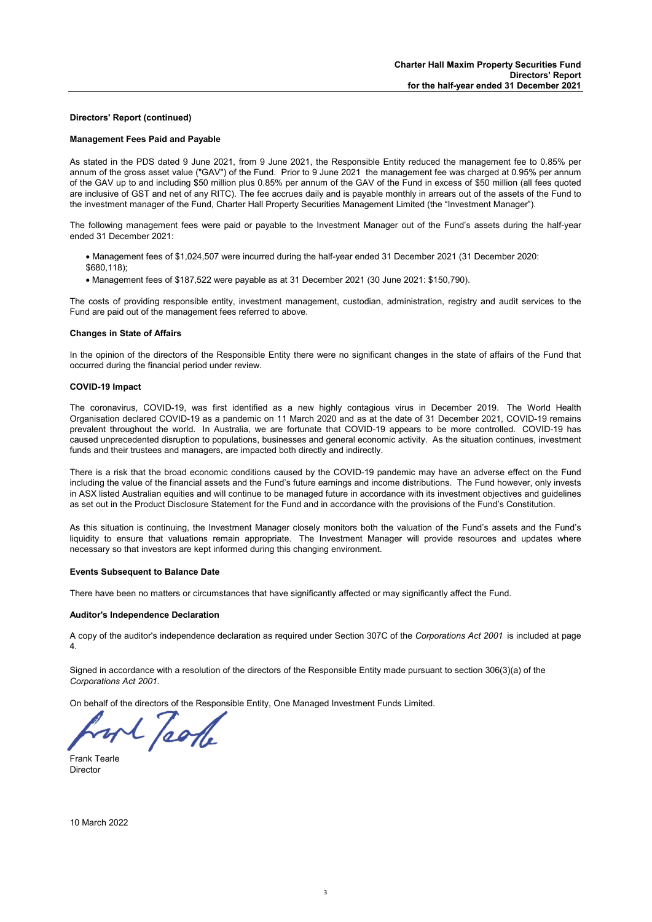### **Directors' Report (continued)**

#### **Management Fees Paid and Payable**

As stated in the PDS dated 9 June 2021, from 9 June 2021, the Responsible Entity reduced the management fee to 0.85% per annum of the gross asset value ("GAV") of the Fund. Prior to 9 June 2021 the management fee was charged at 0.95% per annum of the GAV up to and including \$50 million plus 0.85% per annum of the GAV of the Fund in excess of \$50 million (all fees quoted are inclusive of GST and net of any RITC). The fee accrues daily and is payable monthly in arrears out of the assets of the Fund to the investment manager of the Fund, Charter Hall Property Securities Management Limited (the "Investment Manager").

The following management fees were paid or payable to the Investment Manager out of the Fund's assets during the half-year ended 31 December 2021:

- Management fees of \$1,024,507 were incurred during the half-year ended 31 December 2021 (31 December 2020: \$680,118);
- Management fees of \$187,522 were payable as at 31 December 2021 (30 June 2021: \$150,790).

The costs of providing responsible entity, investment management, custodian, administration, registry and audit services to the Fund are paid out of the management fees referred to above.

#### **Changes in State of Affairs**

In the opinion of the directors of the Responsible Entity there were no significant changes in the state of affairs of the Fund that occurred during the financial period under review.

#### **COVID-19 Impact**

The coronavirus, COVID-19, was first identified as a new highly contagious virus in December 2019. The World Health Organisation declared COVID-19 as a pandemic on 11 March 2020 and as at the date of 31 December 2021, COVID-19 remains prevalent throughout the world. In Australia, we are fortunate that COVID-19 appears to be more controlled. COVID-19 has caused unprecedented disruption to populations, businesses and general economic activity. As the situation continues, investment funds and their trustees and managers, are impacted both directly and indirectly.

There is a risk that the broad economic conditions caused by the COVID-19 pandemic may have an adverse effect on the Fund including the value of the financial assets and the Fund's future earnings and income distributions. The Fund however, only invests in ASX listed Australian equities and will continue to be managed future in accordance with its investment objectives and guidelines as set out in the Product Disclosure Statement for the Fund and in accordance with the provisions of the Fund's Constitution.

As this situation is continuing, the Investment Manager closely monitors both the valuation of the Fund's assets and the Fund's liquidity to ensure that valuations remain appropriate. The Investment Manager will provide resources and updates where necessary so that investors are kept informed during this changing environment.

#### **Events Subsequent to Balance Date**

There have been no matters or circumstances that have significantly affected or may significantly affect the Fund.

## **Auditor's Independence Declaration**

A copy of the auditor's independence declaration as required under Section 307C of the *Corporations Act 2001* is included at page 4.

Signed in accordance with a resolution of the directors of the Responsible Entity made pursuant to section 306(3)(a) of the *Corporations Act 2001.*

On behalf of the directors of the Responsible Entity, One Managed Investment Funds Limited.

wh pole

Frank Tearle Director

10 March 2022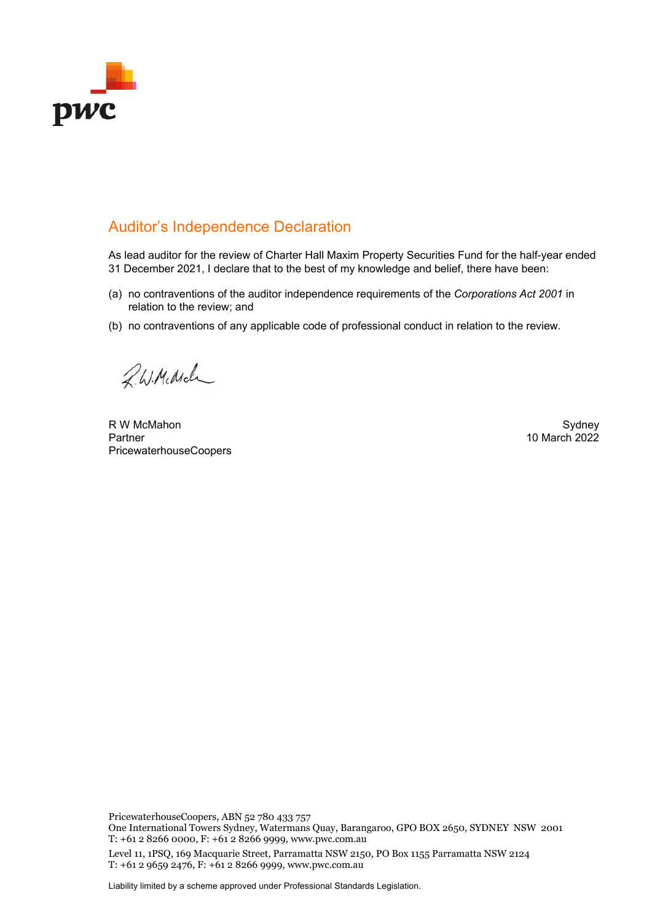

# Auditor's Independence Declaration

As lead auditor for the review of Charter Hall Maxim Property Securities Fund for the half-year ended 31 December 2021, I declare that to the best of my knowledge and belief, there have been:

- (a) no contraventions of the auditor independence requirements of the *Corporations Act 2001* in relation to the review; and
- (b) no contraventions of any applicable code of professional conduct in relation to the review.

2. W. Middle

R W McMahon Sydney Partner PricewaterhouseCoopers

10 March 2022

PricewaterhouseCoopers, ABN 52 780 433 757

One International Towers Sydney, Watermans Quay, Barangaroo, GPO BOX 2650, SYDNEY NSW 2001 T: +61 2 8266 0000, F: +61 2 8266 9999, www.pwc.com.au

Level 11, 1PSQ, 169 Macquarie Street, Parramatta NSW 2150, PO Box 1155 Parramatta NSW 2124 T: +61 2 9659 2476, F: +61 2 8266 9999, www.pwc.com.au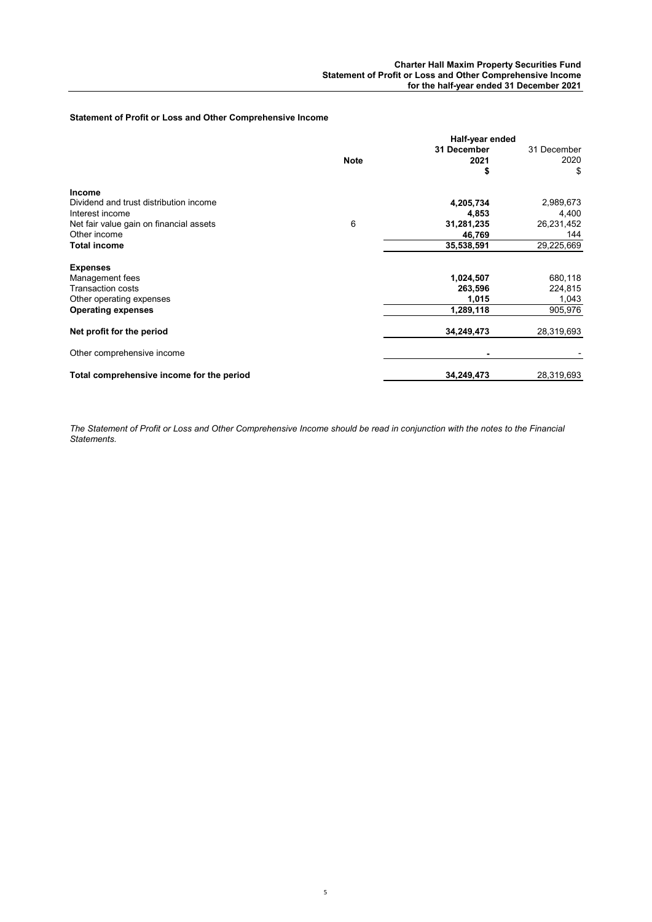## **Statement of Profit or Loss and Other Comprehensive Income**

|                                           |             | Half-year ended |             |
|-------------------------------------------|-------------|-----------------|-------------|
|                                           |             | 31 December     | 31 December |
|                                           | <b>Note</b> | 2021            | 2020        |
|                                           |             | \$              | \$          |
| <b>Income</b>                             |             |                 |             |
| Dividend and trust distribution income    |             | 4,205,734       | 2,989,673   |
| Interest income                           |             | 4,853           | 4,400       |
| Net fair value gain on financial assets   | 6           | 31,281,235      | 26,231,452  |
| Other income                              |             | 46,769          | 144         |
| Total income                              |             | 35,538,591      | 29,225,669  |
| <b>Expenses</b>                           |             |                 |             |
| Management fees                           |             | 1,024,507       | 680,118     |
| <b>Transaction costs</b>                  |             | 263,596         | 224,815     |
| Other operating expenses                  |             | 1,015           | 1,043       |
| <b>Operating expenses</b>                 |             | 1,289,118       | 905,976     |
| Net profit for the period                 |             | 34,249,473      | 28,319,693  |
| Other comprehensive income                |             |                 |             |
| Total comprehensive income for the period |             | 34,249,473      | 28,319,693  |

*The Statement of Profit or Loss and Other Comprehensive Income should be read in conjunction with the notes to the Financial Statements.*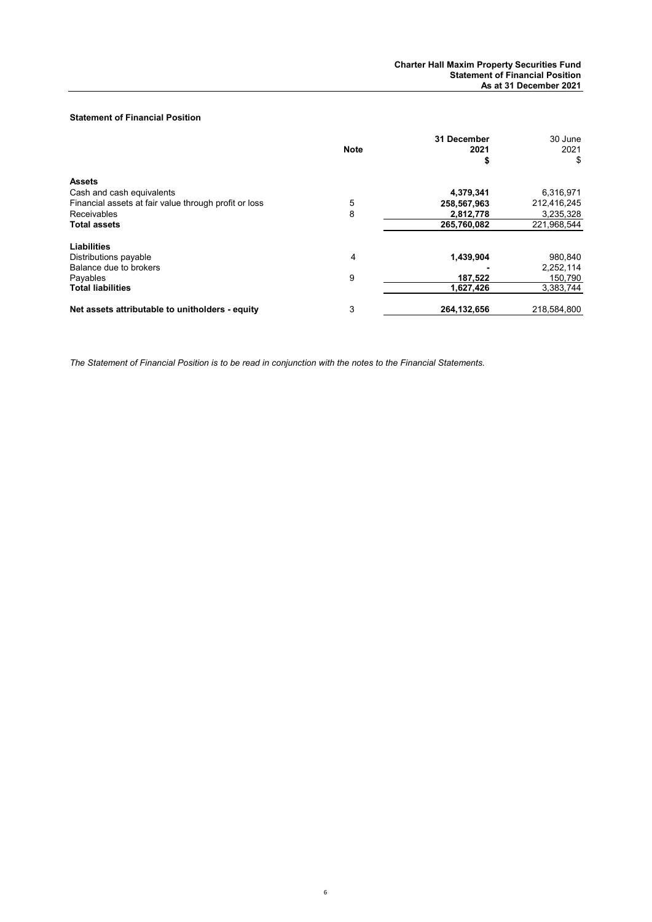## **Statement of Financial Position**

|                                                       | <b>Note</b> | 31 December<br>2021<br>\$ | 30 June<br>2021<br>\$ |
|-------------------------------------------------------|-------------|---------------------------|-----------------------|
| <b>Assets</b>                                         |             |                           |                       |
| Cash and cash equivalents                             |             | 4,379,341                 | 6,316,971             |
| Financial assets at fair value through profit or loss | 5           | 258,567,963               | 212,416,245           |
| Receivables                                           | 8           | 2,812,778                 | 3,235,328             |
| <b>Total assets</b>                                   |             | 265,760,082               | 221,968,544           |
| Liabilities                                           |             |                           |                       |
| Distributions payable                                 | 4           | 1,439,904                 | 980,840               |
| Balance due to brokers                                |             |                           | 2,252,114             |
| Pavables                                              | 9           | 187,522                   | 150,790               |
| <b>Total liabilities</b>                              |             | 1,627,426                 | 3,383,744             |
| Net assets attributable to unitholders - equity       | 3           | 264, 132, 656             | 218,584,800           |

*The Statement of Financial Position is to be read in conjunction with the notes to the Financial Statements.*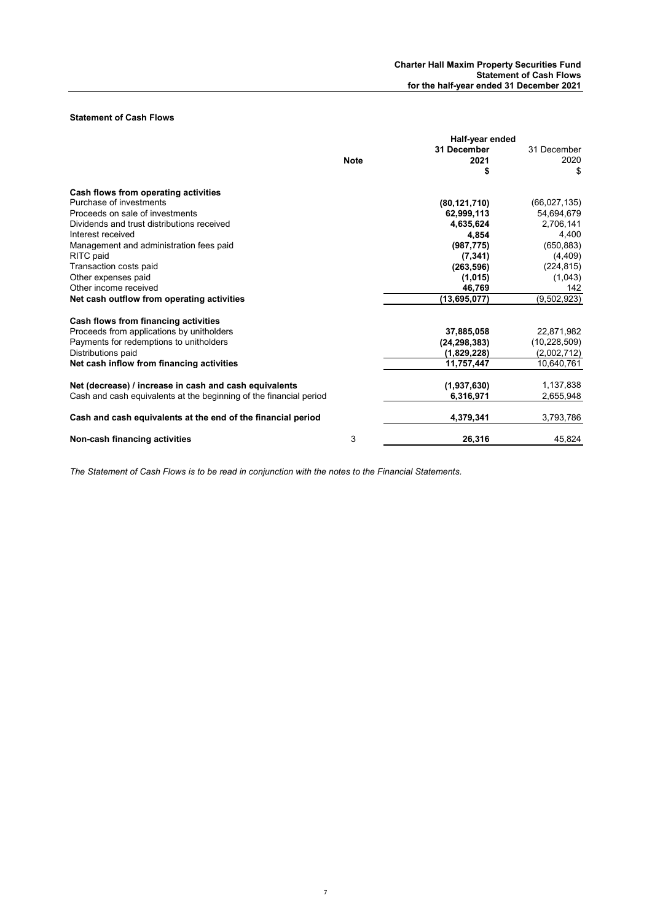## **Statement of Cash Flows**

|                                                                    | Half-year ended |                |                |
|--------------------------------------------------------------------|-----------------|----------------|----------------|
|                                                                    |                 | 31 December    | 31 December    |
|                                                                    | <b>Note</b>     | 2021           | 2020           |
|                                                                    |                 | \$             | \$             |
| Cash flows from operating activities                               |                 |                |                |
| Purchase of investments                                            |                 | (80, 121, 710) | (66, 027, 135) |
| Proceeds on sale of investments                                    |                 | 62,999,113     | 54,694,679     |
| Dividends and trust distributions received                         |                 | 4,635,624      | 2,706,141      |
| Interest received                                                  |                 | 4,854          | 4,400          |
| Management and administration fees paid                            |                 | (987, 775)     | (650, 883)     |
| RITC paid                                                          |                 | (7, 341)       | (4, 409)       |
| Transaction costs paid                                             |                 | (263, 596)     | (224, 815)     |
| Other expenses paid                                                |                 | (1,015)        | (1,043)        |
| Other income received                                              |                 | 46.769         | 142            |
| Net cash outflow from operating activities                         |                 | (13,695,077)   | (9,502,923)    |
| Cash flows from financing activities                               |                 |                |                |
| Proceeds from applications by unitholders                          |                 | 37,885,058     | 22,871,982     |
| Payments for redemptions to unitholders                            |                 | (24, 298, 383) | (10, 228, 509) |
| Distributions paid                                                 |                 | (1,829,228)    | (2,002,712)    |
| Net cash inflow from financing activities                          |                 | 11,757,447     | 10.640.761     |
| Net (decrease) / increase in cash and cash equivalents             |                 | (1,937,630)    | 1,137,838      |
| Cash and cash equivalents at the beginning of the financial period |                 | 6,316,971      | 2,655,948      |
| Cash and cash equivalents at the end of the financial period       |                 | 4,379,341      | 3,793,786      |
| Non-cash financing activities                                      | 3               | 26,316         | 45,824         |

*The Statement of Cash Flows is to be read in conjunction with the notes to the Financial Statements.*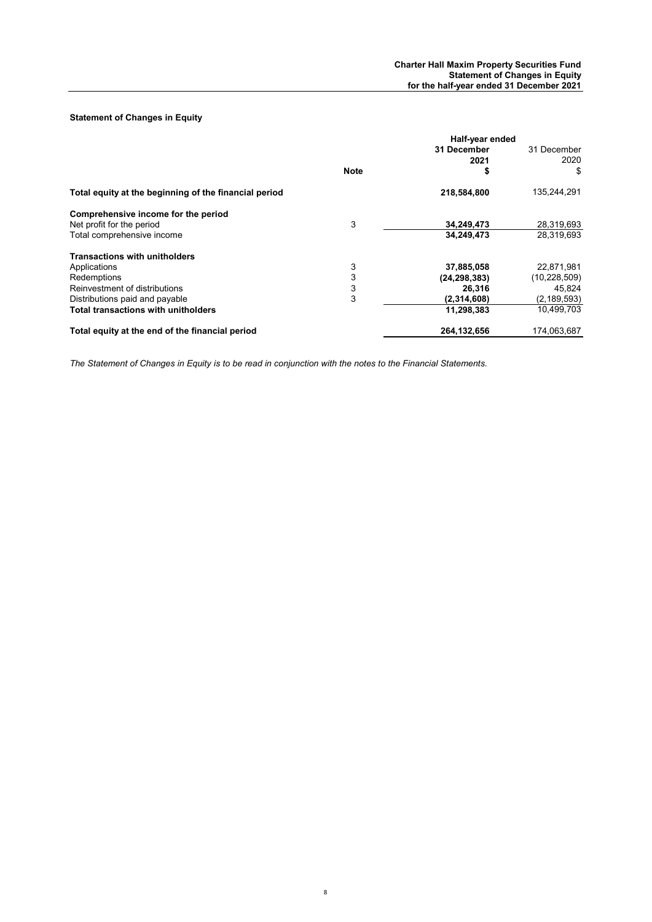## **Statement of Changes in Equity**

|                                                       | Half-year ended |                |                |
|-------------------------------------------------------|-----------------|----------------|----------------|
|                                                       |                 | 31 December    | 31 December    |
|                                                       |                 | 2021           | 2020           |
|                                                       | <b>Note</b>     | \$             | \$             |
| Total equity at the beginning of the financial period |                 | 218,584,800    | 135,244,291    |
| Comprehensive income for the period                   |                 |                |                |
| Net profit for the period                             | 3               | 34,249,473     | 28,319,693     |
| Total comprehensive income                            |                 | 34,249,473     | 28,319,693     |
| <b>Transactions with unitholders</b>                  |                 |                |                |
| Applications                                          | 3               | 37,885,058     | 22,871,981     |
| Redemptions                                           | 3               | (24, 298, 383) | (10, 228, 509) |
| Reinvestment of distributions                         | 3               | 26,316         | 45,824         |
| Distributions paid and payable                        | 3               | (2,314,608)    | (2, 189, 593)  |
| <b>Total transactions with unitholders</b>            |                 | 11,298,383     | 10,499,703     |
| Total equity at the end of the financial period       |                 | 264.132.656    | 174.063.687    |

*The Statement of Changes in Equity is to be read in conjunction with the notes to the Financial Statements.*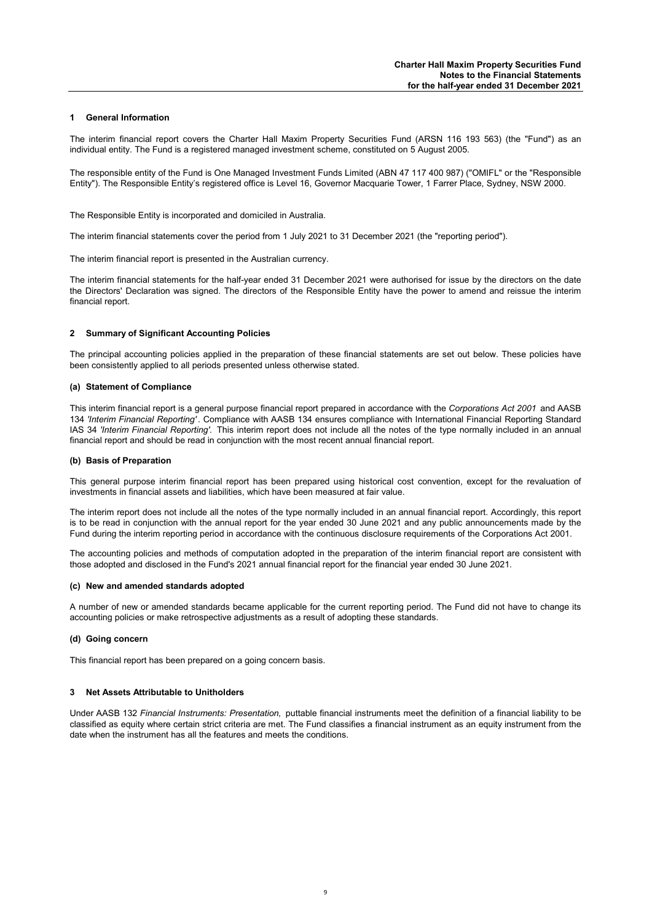## **1 General Information**

The interim financial report covers the Charter Hall Maxim Property Securities Fund (ARSN 116 193 563) (the "Fund") as an individual entity. The Fund is a registered managed investment scheme, constituted on 5 August 2005.

The responsible entity of the Fund is One Managed Investment Funds Limited (ABN 47 117 400 987) ("OMIFL" or the "Responsible Entity"). The Responsible Entity's registered office is Level 16, Governor Macquarie Tower, 1 Farrer Place, Sydney, NSW 2000.

The Responsible Entity is incorporated and domiciled in Australia.

The interim financial statements cover the period from 1 July 2021 to 31 December 2021 (the "reporting period").

The interim financial report is presented in the Australian currency.

The interim financial statements for the half-year ended 31 December 2021 were authorised for issue by the directors on the date the Directors' Declaration was signed. The directors of the Responsible Entity have the power to amend and reissue the interim financial report.

#### **2 Summary of Significant Accounting Policies**

The principal accounting policies applied in the preparation of these financial statements are set out below. These policies have been consistently applied to all periods presented unless otherwise stated.

#### **(a) Statement of Compliance**

This interim financial report is a general purpose financial report prepared in accordance with the *Corporations Act 2001* and AASB 134 *'Interim Financial Reporting'* . Compliance with AASB 134 ensures compliance with International Financial Reporting Standard IAS 34 *'Interim Financial Reporting'.* This interim report does not include all the notes of the type normally included in an annual financial report and should be read in conjunction with the most recent annual financial report.

#### **(b) Basis of Preparation**

This general purpose interim financial report has been prepared using historical cost convention, except for the revaluation of investments in financial assets and liabilities, which have been measured at fair value.

The interim report does not include all the notes of the type normally included in an annual financial report. Accordingly, this report is to be read in conjunction with the annual report for the year ended 30 June 2021 and any public announcements made by the Fund during the interim reporting period in accordance with the continuous disclosure requirements of the Corporations Act 2001.

The accounting policies and methods of computation adopted in the preparation of the interim financial report are consistent with those adopted and disclosed in the Fund's 2021 annual financial report for the financial year ended 30 June 2021.

#### **(c) New and amended standards adopted**

A number of new or amended standards became applicable for the current reporting period. The Fund did not have to change its accounting policies or make retrospective adjustments as a result of adopting these standards.

#### **(d) Going concern**

This financial report has been prepared on a going concern basis.

#### **3 Net Assets Attributable to Unitholders**

Under AASB 132 *Financial Instruments: Presentation,* puttable financial instruments meet the definition of a financial liability to be classified as equity where certain strict criteria are met. The Fund classifies a financial instrument as an equity instrument from the date when the instrument has all the features and meets the conditions.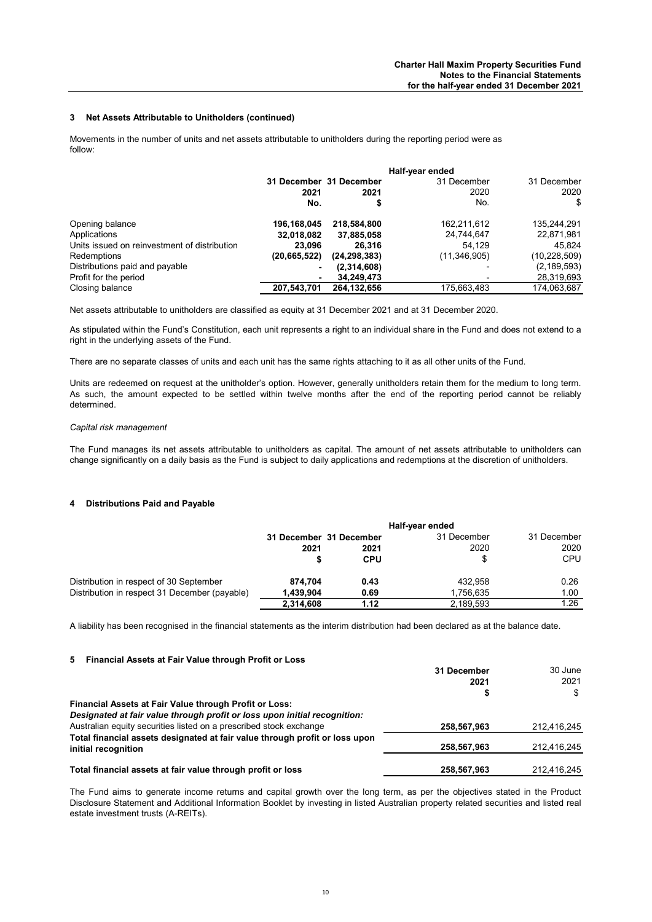#### **3 Net Assets Attributable to Unitholders (continued)**

Movements in the number of units and net assets attributable to unitholders during the reporting period were as follow:

|                                              | Half-year ended |                         |                |                |
|----------------------------------------------|-----------------|-------------------------|----------------|----------------|
|                                              |                 | 31 December 31 December | 31 December    | 31 December    |
|                                              | 2021            | 2021                    | 2020           | 2020           |
|                                              | No.             |                         | No.            | \$             |
| Opening balance                              | 196,168,045     | 218,584,800             | 162,211,612    | 135,244,291    |
| Applications                                 | 32,018,082      | 37,885,058              | 24,744,647     | 22,871,981     |
| Units issued on reinvestment of distribution | 23.096          | 26.316                  | 54.129         | 45.824         |
| Redemptions                                  | (20, 665, 522)  | (24, 298, 383)          | (11, 346, 905) | (10, 228, 509) |
| Distributions paid and payable               | ٠               | (2,314,608)             |                | (2, 189, 593)  |
| Profit for the period                        | ۰               | 34,249,473              |                | 28,319,693     |
| Closing balance                              | 207,543,701     | 264,132,656             | 175,663,483    | 174,063,687    |
|                                              |                 |                         |                |                |

Net assets attributable to unitholders are classified as equity at 31 December 2021 and at 31 December 2020.

As stipulated within the Fund's Constitution, each unit represents a right to an individual share in the Fund and does not extend to a right in the underlying assets of the Fund.

There are no separate classes of units and each unit has the same rights attaching to it as all other units of the Fund.

Units are redeemed on request at the unitholder's option. However, generally unitholders retain them for the medium to long term. As such, the amount expected to be settled within twelve months after the end of the reporting period cannot be reliably determined.

#### *Capital risk management*

The Fund manages its net assets attributable to unitholders as capital. The amount of net assets attributable to unitholders can change significantly on a daily basis as the Fund is subject to daily applications and redemptions at the discretion of unitholders.

#### **4 Distributions Paid and Payable**

|                                               | Half-year ended         |            |             |             |
|-----------------------------------------------|-------------------------|------------|-------------|-------------|
|                                               | 31 December 31 December |            | 31 December | 31 December |
|                                               | 2021                    | 2021       | 2020        | 2020        |
|                                               | \$                      | <b>CPU</b> | \$          | <b>CPU</b>  |
| Distribution in respect of 30 September       | 874.704                 | 0.43       | 432.958     | 0.26        |
| Distribution in respect 31 December (payable) | 1.439.904               | 0.69       | 1.756.635   | 1.00        |
|                                               | 2,314,608               | 1.12       | 2.189.593   | 1.26        |

A liability has been recognised in the financial statements as the interim distribution had been declared as at the balance date.

#### **5 Financial Assets at Fair Value through Profit or Loss**

|                                                                             | 31 December | 30 June     |
|-----------------------------------------------------------------------------|-------------|-------------|
|                                                                             | 2021        | 2021        |
|                                                                             | S           | \$.         |
| Financial Assets at Fair Value through Profit or Loss:                      |             |             |
| Designated at fair value through profit or loss upon initial recognition:   |             |             |
| Australian equity securities listed on a prescribed stock exchange          | 258,567,963 | 212.416.245 |
| Total financial assets designated at fair value through profit or loss upon |             |             |
| initial recognition                                                         | 258,567,963 | 212.416.245 |
|                                                                             |             |             |
| Total financial assets at fair value through profit or loss                 | 258,567,963 | 212.416.245 |

The Fund aims to generate income returns and capital growth over the long term, as per the objectives stated in the Product Disclosure Statement and Additional Information Booklet by investing in listed Australian property related securities and listed real estate investment trusts (A-REITs).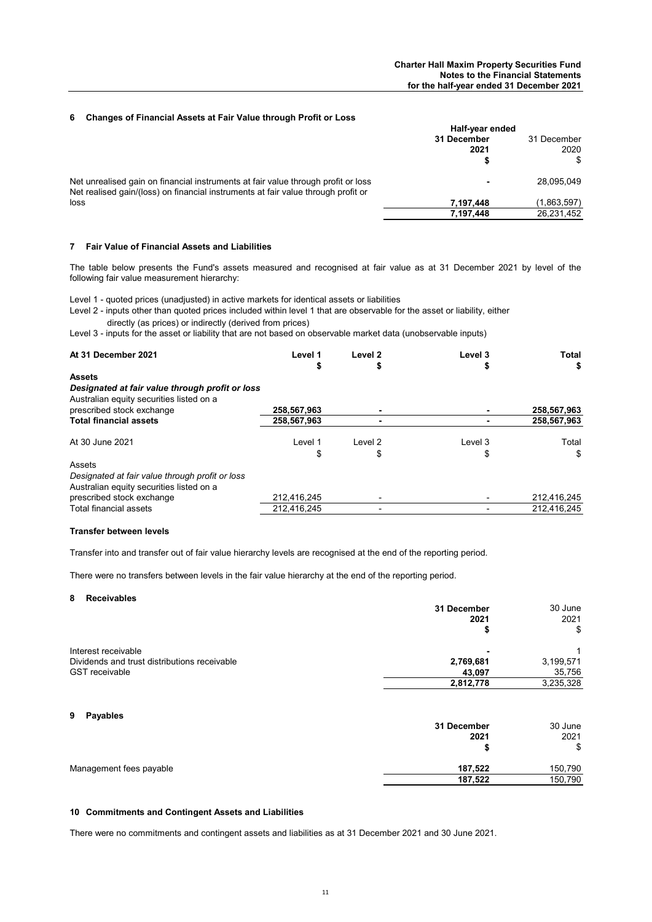## **6 Changes of Financial Assets at Fair Value through Profit or Loss**

|                                                                                                                                                                        | Half-year ended |             |  |  |      |
|------------------------------------------------------------------------------------------------------------------------------------------------------------------------|-----------------|-------------|--|--|------|
|                                                                                                                                                                        | 31 December     | 31 December |  |  |      |
|                                                                                                                                                                        | 2021            |             |  |  | 2020 |
|                                                                                                                                                                        |                 | \$          |  |  |      |
| Net unrealised gain on financial instruments at fair value through profit or loss<br>Net realised gain/(loss) on financial instruments at fair value through profit or |                 | 28.095.049  |  |  |      |
| loss                                                                                                                                                                   | 7.197.448       | (1,863,597) |  |  |      |
|                                                                                                                                                                        | 7.197.448       | 26.231.452  |  |  |      |

## **7 Fair Value of Financial Assets and Liabilities**

The table below presents the Fund's assets measured and recognised at fair value as at 31 December 2021 by level of the following fair value measurement hierarchy:

Level 1 - quoted prices (unadjusted) in active markets for identical assets or liabilities

Level 2 - inputs other than quoted prices included within level 1 that are observable for the asset or liability, either directly (as prices) or indirectly (derived from prices)

Level 3 - inputs for the asset or liability that are not based on observable market data (unobservable inputs)

| At 31 December 2021                                                                                          | Level 1<br>\$ | Level <sub>2</sub><br>Φ | Level 3 | Total<br>\$ |
|--------------------------------------------------------------------------------------------------------------|---------------|-------------------------|---------|-------------|
| <b>Assets</b><br>Designated at fair value through profit or loss<br>Australian equity securities listed on a |               |                         |         |             |
| prescribed stock exchange                                                                                    | 258.567.963   |                         |         | 258,567,963 |
| <b>Total financial assets</b>                                                                                | 258,567,963   |                         |         | 258,567,963 |
| At 30 June 2021                                                                                              | Level 1       | Level 2                 | Level 3 | Total       |
|                                                                                                              | \$            | \$                      | \$      | \$          |
| Assets                                                                                                       |               |                         |         |             |
| Designated at fair value through profit or loss<br>Australian equity securities listed on a                  |               |                         |         |             |
| prescribed stock exchange                                                                                    | 212,416,245   |                         |         | 212,416,245 |
| Total financial assets                                                                                       | 212.416.245   |                         |         | 212.416.245 |

#### **Transfer between levels**

Transfer into and transfer out of fair value hierarchy levels are recognised at the end of the reporting period.

There were no transfers between levels in the fair value hierarchy at the end of the reporting period.

## **8 Receivables**

|                                              | 31 December | 30 June   |
|----------------------------------------------|-------------|-----------|
|                                              | 2021        | 2021      |
|                                              |             | \$        |
| Interest receivable                          | -           |           |
| Dividends and trust distributions receivable | 2,769,681   | 3,199,571 |
| <b>GST</b> receivable                        | 43.097      | 35,756    |
|                                              | 2,812,778   | 3,235,328 |
|                                              |             |           |

#### **9 Payables**

|                         | 31 December | 30 June |
|-------------------------|-------------|---------|
|                         | 2021        | 2021    |
|                         |             | \$      |
| Management fees payable | 187,522     | 150,790 |
|                         | 187,522     | 150,790 |

## **10 Commitments and Contingent Assets and Liabilities**

There were no commitments and contingent assets and liabilities as at 31 December 2021 and 30 June 2021.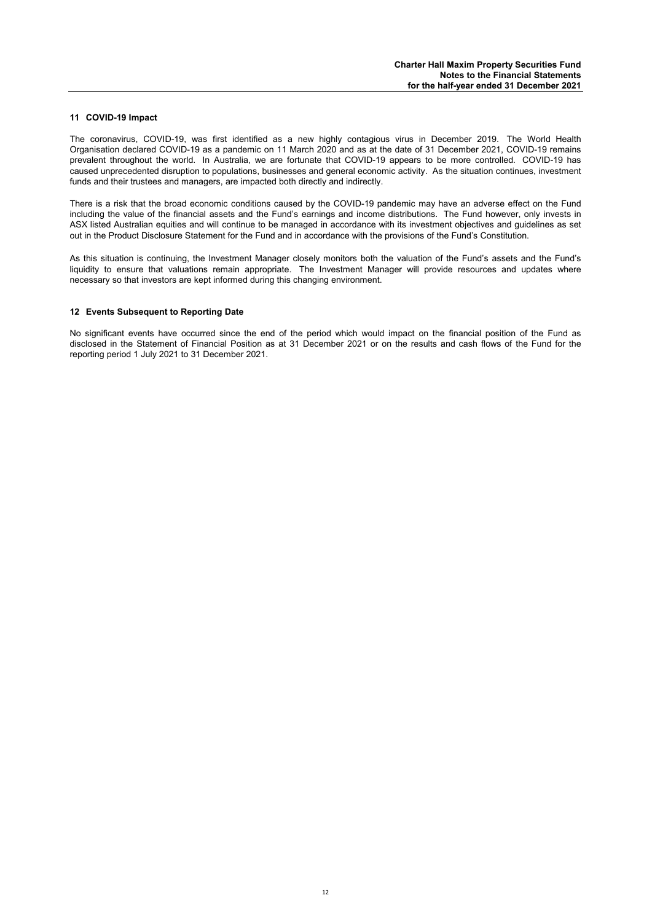### **11 COVID-19 Impact**

The coronavirus, COVID-19, was first identified as a new highly contagious virus in December 2019. The World Health Organisation declared COVID-19 as a pandemic on 11 March 2020 and as at the date of 31 December 2021, COVID-19 remains prevalent throughout the world. In Australia, we are fortunate that COVID-19 appears to be more controlled. COVID-19 has caused unprecedented disruption to populations, businesses and general economic activity. As the situation continues, investment funds and their trustees and managers, are impacted both directly and indirectly.

There is a risk that the broad economic conditions caused by the COVID-19 pandemic may have an adverse effect on the Fund including the value of the financial assets and the Fund's earnings and income distributions. The Fund however, only invests in ASX listed Australian equities and will continue to be managed in accordance with its investment objectives and guidelines as set out in the Product Disclosure Statement for the Fund and in accordance with the provisions of the Fund's Constitution.

As this situation is continuing, the Investment Manager closely monitors both the valuation of the Fund's assets and the Fund's liquidity to ensure that valuations remain appropriate. The Investment Manager will provide resources and updates where necessary so that investors are kept informed during this changing environment.

#### **12 Events Subsequent to Reporting Date**

No significant events have occurred since the end of the period which would impact on the financial position of the Fund as disclosed in the Statement of Financial Position as at 31 December 2021 or on the results and cash flows of the Fund for the reporting period 1 July 2021 to 31 December 2021.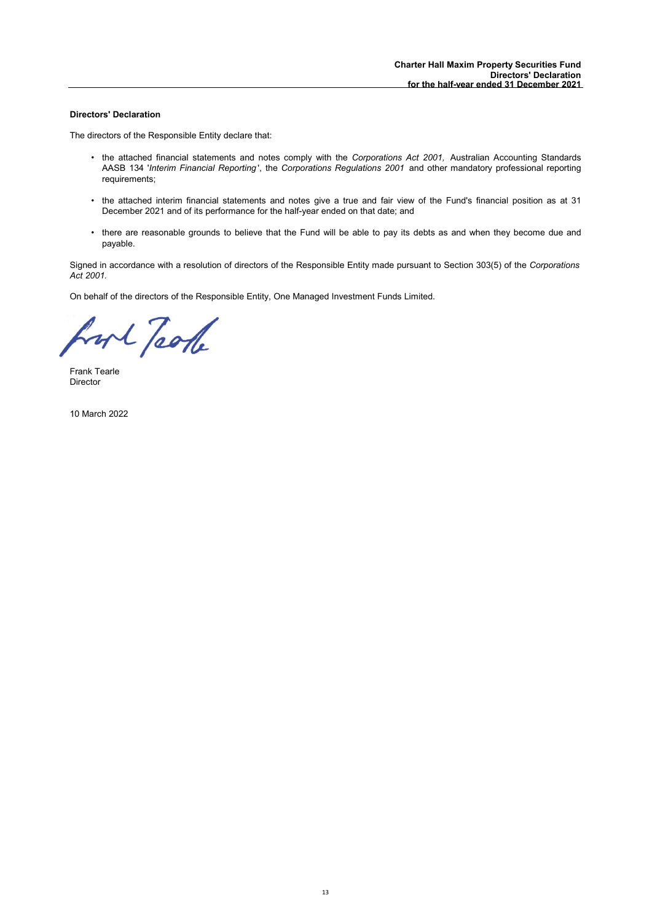## **Directors' Declaration**

The directors of the Responsible Entity declare that:

- the attached financial statements and notes comply with the *Corporations Act 2001,* Australian Accounting Standards AASB 134 '*Interim Financial Reporting* ', the *Corporations Regulations 2001* and other mandatory professional reporting requirements;
- the attached interim financial statements and notes give a true and fair view of the Fund's financial position as at 31 December 2021 and of its performance for the half-year ended on that date; and
- there are reasonable grounds to believe that the Fund will be able to pay its debts as and when they become due and payable.

Signed in accordance with a resolution of directors of the Responsible Entity made pursuant to Section 303(5) of the *Corporations Act 2001.*

On behalf of the directors of the Responsible Entity, One Managed Investment Funds Limited.

hort Took

Frank Tearle Director

10 March 2022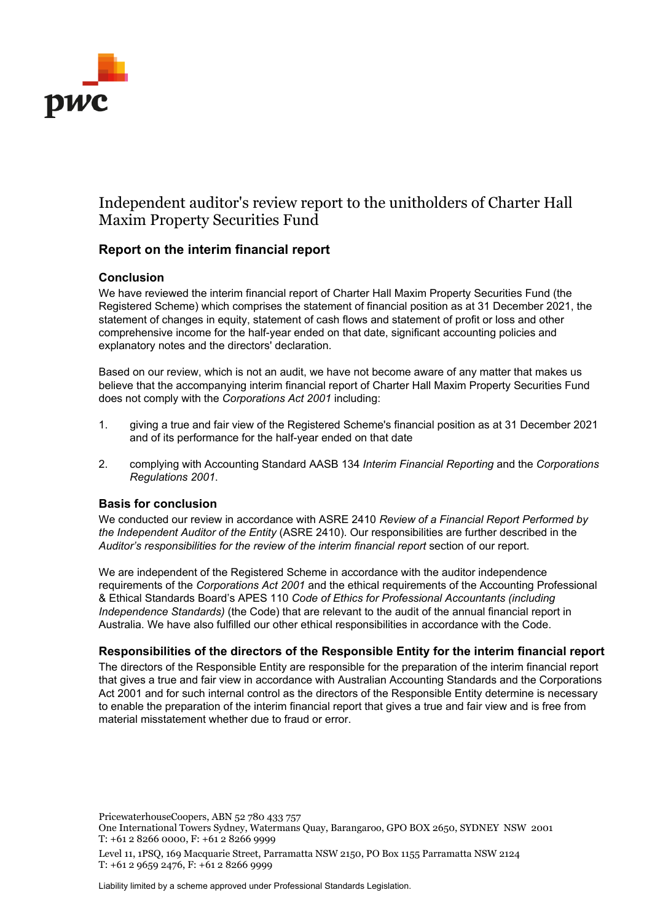

# Independent auditor's review report to the unitholders of Charter Hall Maxim Property Securities Fund

# **Report on the interim financial report**

# **Conclusion**

We have reviewed the interim financial report of Charter Hall Maxim Property Securities Fund (the Registered Scheme) which comprises the statement of financial position as at 31 December 2021, the statement of changes in equity, statement of cash flows and statement of profit or loss and other comprehensive income for the half-year ended on that date, significant accounting policies and explanatory notes and the directors' declaration.

Based on our review, which is not an audit, we have not become aware of any matter that makes us believe that the accompanying interim financial report of Charter Hall Maxim Property Securities Fund does not comply with the *Corporations Act 2001* including:

- 1. giving a true and fair view of the Registered Scheme's financial position as at 31 December 2021 and of its performance for the half-year ended on that date
- 2. complying with Accounting Standard AASB 134 *Interim Financial Reporting* and the *Corporations Regulations 2001*.

# **Basis for conclusion**

We conducted our review in accordance with ASRE 2410 *Review of a Financial Report Performed by the Independent Auditor of the Entity* (ASRE 2410). Our responsibilities are further described in the *Auditor's responsibilities for the review of the interim financial report* section of our report.

We are independent of the Registered Scheme in accordance with the auditor independence requirements of the *Corporations Act 2001* and the ethical requirements of the Accounting Professional & Ethical Standards Board's APES 110 *Code of Ethics for Professional Accountants (including Independence Standards)* (the Code) that are relevant to the audit of the annual financial report in Australia. We have also fulfilled our other ethical responsibilities in accordance with the Code.

# **Responsibilities of the directors of the Responsible Entity for the interim financial report**

The directors of the Responsible Entity are responsible for the preparation of the interim financial report that gives a true and fair view in accordance with Australian Accounting Standards and the Corporations Act 2001 and for such internal control as the directors of the Responsible Entity determine is necessary to enable the preparation of the interim financial report that gives a true and fair view and is free from material misstatement whether due to fraud or error.

PricewaterhouseCoopers, ABN 52 780 433 757

Liability limited by a scheme approved under Professional Standards Legislation.

One International Towers Sydney, Watermans Quay, Barangaroo, GPO BOX 2650, SYDNEY NSW 2001 T: +61 2 8266 0000, F: +61 2 8266 9999

Level 11, 1PSQ, 169 Macquarie Street, Parramatta NSW 2150, PO Box 1155 Parramatta NSW 2124 T: +61 2 9659 2476, F: +61 2 8266 9999